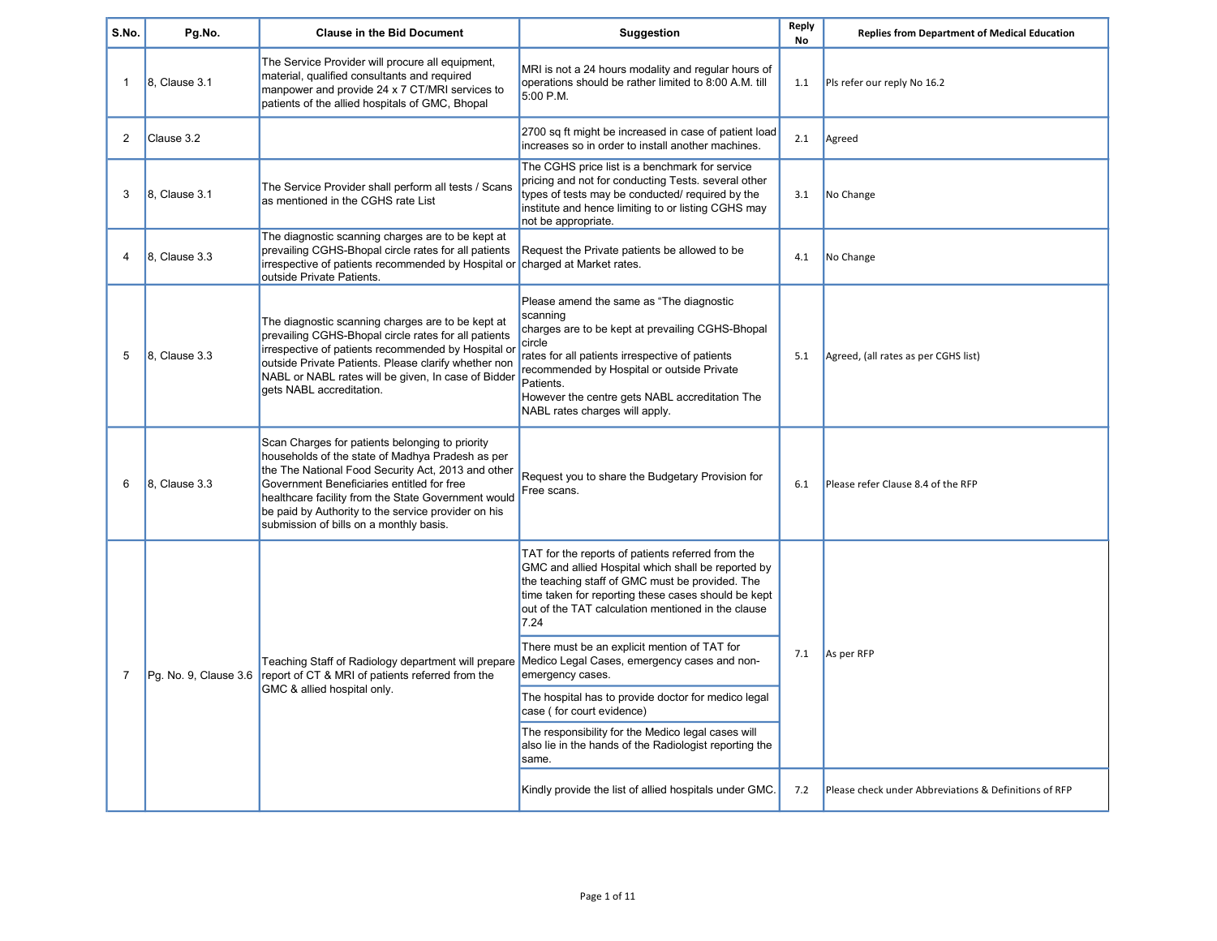| S.No.                 | Pg.No.                | <b>Clause in the Bid Document</b>                                                                                                                                                                                                                                                                                                                                | Suggestion                                                                                                                                                                                                                                                                                                           | Reply<br><b>No</b> | <b>Replies from Department of Medical Education</b>   |
|-----------------------|-----------------------|------------------------------------------------------------------------------------------------------------------------------------------------------------------------------------------------------------------------------------------------------------------------------------------------------------------------------------------------------------------|----------------------------------------------------------------------------------------------------------------------------------------------------------------------------------------------------------------------------------------------------------------------------------------------------------------------|--------------------|-------------------------------------------------------|
| $\mathbf{1}$          | 8, Clause 3.1         | The Service Provider will procure all equipment,<br>material, qualified consultants and required<br>manpower and provide 24 x 7 CT/MRI services to<br>patients of the allied hospitals of GMC, Bhopal                                                                                                                                                            | MRI is not a 24 hours modality and regular hours of<br>operations should be rather limited to 8:00 A.M. till<br>5:00 P.M.                                                                                                                                                                                            | 1.1                | Pls refer our reply No 16.2                           |
| 2                     | Clause 3.2            |                                                                                                                                                                                                                                                                                                                                                                  | 2700 sq ft might be increased in case of patient load<br>increases so in order to install another machines.                                                                                                                                                                                                          | 2.1                | Agreed                                                |
| 3                     | 8. Clause 3.1         | The Service Provider shall perform all tests / Scans<br>as mentioned in the CGHS rate List                                                                                                                                                                                                                                                                       | The CGHS price list is a benchmark for service<br>pricing and not for conducting Tests. several other<br>types of tests may be conducted/ required by the<br>institute and hence limiting to or listing CGHS may<br>not be appropriate.                                                                              | 3.1                | No Change                                             |
| $\boldsymbol{\Delta}$ | 8, Clause 3.3         | The diagnostic scanning charges are to be kept at<br>prevailing CGHS-Bhopal circle rates for all patients<br>irrespective of patients recommended by Hospital or charged at Market rates.<br>outside Private Patients.                                                                                                                                           | Request the Private patients be allowed to be                                                                                                                                                                                                                                                                        | 4.1                | No Change                                             |
| 5                     | 8, Clause 3.3         | The diagnostic scanning charges are to be kept at<br>prevailing CGHS-Bhopal circle rates for all patients<br>irrespective of patients recommended by Hospital or<br>outside Private Patients. Please clarify whether non<br>NABL or NABL rates will be given, In case of Bidder<br>gets NABL accreditation.                                                      | Please amend the same as "The diagnostic<br>scanning<br>charges are to be kept at prevailing CGHS-Bhopal<br>circle<br>rates for all patients irrespective of patients<br>recommended by Hospital or outside Private<br>Patients.<br>However the centre gets NABL accreditation The<br>NABL rates charges will apply. | 5.1                | Agreed, (all rates as per CGHS list)                  |
| 6                     | $8.$ Clause $3.3$     | Scan Charges for patients belonging to priority<br>households of the state of Madhya Pradesh as per<br>the The National Food Security Act, 2013 and other<br>Government Beneficiaries entitled for free<br>healthcare facility from the State Government would<br>be paid by Authority to the service provider on his<br>submission of bills on a monthly basis. | Request you to share the Budgetary Provision for<br>Free scans.                                                                                                                                                                                                                                                      | 6.1                | Please refer Clause 8.4 of the RFP                    |
|                       |                       |                                                                                                                                                                                                                                                                                                                                                                  | TAT for the reports of patients referred from the<br>GMC and allied Hospital which shall be reported by<br>the teaching staff of GMC must be provided. The<br>time taken for reporting these cases should be kept<br>out of the TAT calculation mentioned in the clause<br>7.24                                      |                    | As per RFP                                            |
| $\overline{7}$        | Pg. No. 9, Clause 3.6 | Teaching Staff of Radiology department will prepare   Medico Legal Cases, emergency cases and non-<br>report of CT & MRI of patients referred from the                                                                                                                                                                                                           | There must be an explicit mention of TAT for<br>emergency cases.                                                                                                                                                                                                                                                     | 7.1                |                                                       |
|                       |                       | GMC & allied hospital only.                                                                                                                                                                                                                                                                                                                                      | The hospital has to provide doctor for medico legal<br>case (for court evidence)                                                                                                                                                                                                                                     |                    |                                                       |
|                       |                       |                                                                                                                                                                                                                                                                                                                                                                  | The responsibility for the Medico legal cases will<br>also lie in the hands of the Radiologist reporting the<br>same.                                                                                                                                                                                                |                    |                                                       |
|                       |                       |                                                                                                                                                                                                                                                                                                                                                                  | Kindly provide the list of allied hospitals under GMC.                                                                                                                                                                                                                                                               | 7.2                | Please check under Abbreviations & Definitions of RFP |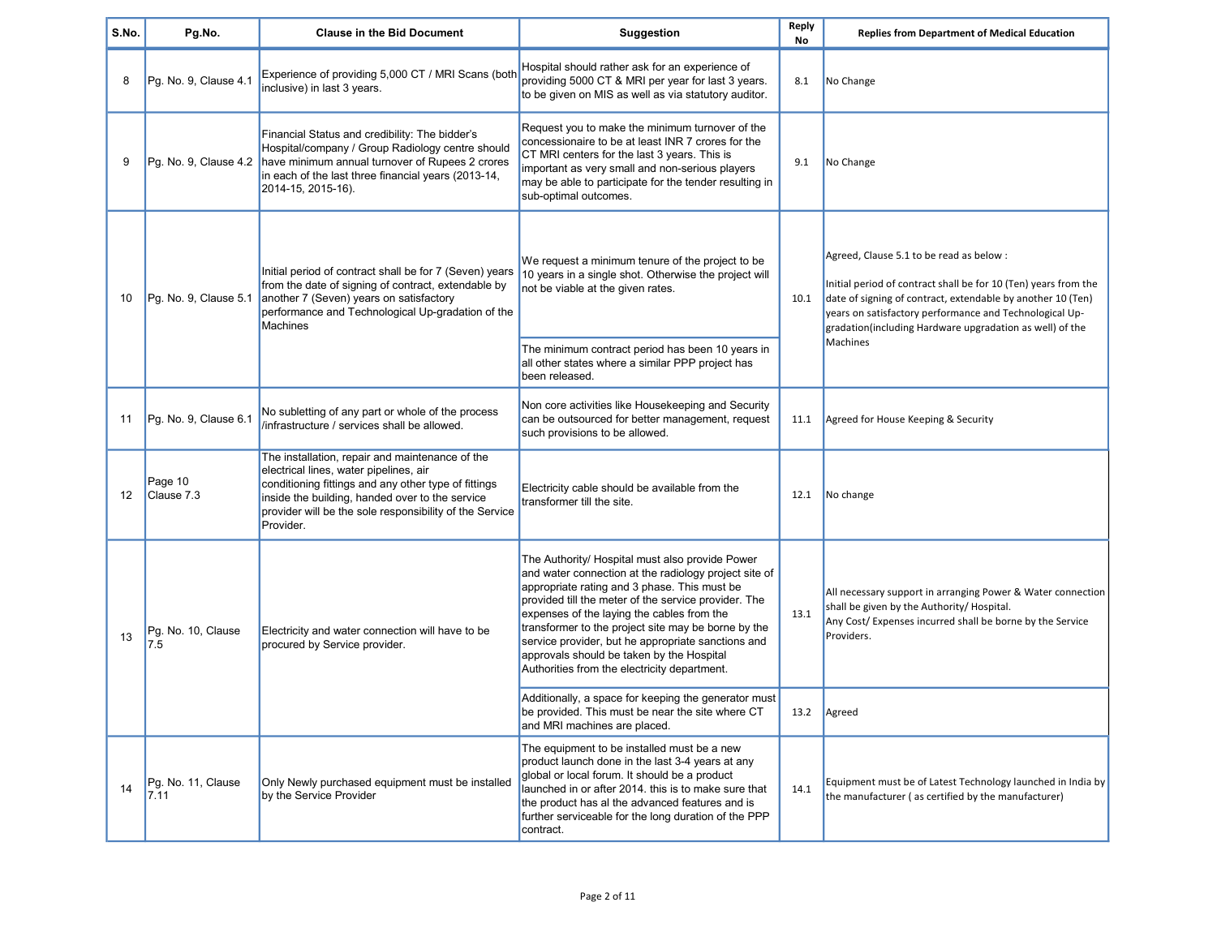| S.No. | Pg.No.                     | <b>Clause in the Bid Document</b>                                                                                                                                                                                                                                            | Suggestion                                                                                                                                                                                                                                                                                                                                                                                                                                                               | Reply<br>No | <b>Replies from Department of Medical Education</b>                                                                                                                                  |                                                                                                                                                                                                                                                                                                  |
|-------|----------------------------|------------------------------------------------------------------------------------------------------------------------------------------------------------------------------------------------------------------------------------------------------------------------------|--------------------------------------------------------------------------------------------------------------------------------------------------------------------------------------------------------------------------------------------------------------------------------------------------------------------------------------------------------------------------------------------------------------------------------------------------------------------------|-------------|--------------------------------------------------------------------------------------------------------------------------------------------------------------------------------------|--------------------------------------------------------------------------------------------------------------------------------------------------------------------------------------------------------------------------------------------------------------------------------------------------|
| 8     | Pg. No. 9, Clause 4.1      | Experience of providing 5,000 CT / MRI Scans (bot)<br>inclusive) in last 3 years.                                                                                                                                                                                            | Hospital should rather ask for an experience of<br>providing 5000 CT & MRI per year for last 3 years.<br>to be given on MIS as well as via statutory auditor.                                                                                                                                                                                                                                                                                                            | 8.1         | No Change                                                                                                                                                                            |                                                                                                                                                                                                                                                                                                  |
| 9     | Pg. No. 9, Clause 4.2      | Financial Status and credibility: The bidder's<br>Hospital/company / Group Radiology centre should<br>have minimum annual turnover of Rupees 2 crores<br>in each of the last three financial years (2013-14,<br>2014-15, 2015-16).                                           | Request you to make the minimum turnover of the<br>concessionaire to be at least INR 7 crores for the<br>CT MRI centers for the last 3 years. This is<br>important as very small and non-serious players<br>may be able to participate for the tender resulting in<br>sub-optimal outcomes.                                                                                                                                                                              | 9.1         | No Change                                                                                                                                                                            |                                                                                                                                                                                                                                                                                                  |
| 10    | Pg. No. 9, Clause 5.1      | Initial period of contract shall be for 7 (Seven) years<br>from the date of signing of contract, extendable by<br>another 7 (Seven) years on satisfactory<br>performance and Technological Up-gradation of the<br><b>Machines</b>                                            | We request a minimum tenure of the project to be<br>10 years in a single shot. Otherwise the project will<br>not be viable at the given rates.                                                                                                                                                                                                                                                                                                                           | 10.1        |                                                                                                                                                                                      | Agreed, Clause 5.1 to be read as below:<br>Initial period of contract shall be for 10 (Ten) years from the<br>date of signing of contract, extendable by another 10 (Ten)<br>years on satisfactory performance and Technological Up-<br>gradation(including Hardware upgradation as well) of the |
|       |                            |                                                                                                                                                                                                                                                                              | The minimum contract period has been 10 years in<br>all other states where a similar PPP project has<br>been released.                                                                                                                                                                                                                                                                                                                                                   |             | <b>Machines</b>                                                                                                                                                                      |                                                                                                                                                                                                                                                                                                  |
| 11    | Pg. No. 9, Clause 6.1      | No subletting of any part or whole of the process<br>/infrastructure / services shall be allowed.                                                                                                                                                                            | Non core activities like Housekeeping and Security<br>can be outsourced for better management, request<br>such provisions to be allowed.                                                                                                                                                                                                                                                                                                                                 | 11.1        | Agreed for House Keeping & Security                                                                                                                                                  |                                                                                                                                                                                                                                                                                                  |
| 12    | Page 10<br>Clause 7.3      | The installation, repair and maintenance of the<br>electrical lines, water pipelines, air<br>conditioning fittings and any other type of fittings<br>inside the building, handed over to the service<br>provider will be the sole responsibility of the Service<br>Provider. | Electricity cable should be available from the<br>transformer till the site.                                                                                                                                                                                                                                                                                                                                                                                             |             | 12.1 No change                                                                                                                                                                       |                                                                                                                                                                                                                                                                                                  |
| 13    | Pg. No. 10, Clause<br>7.5  | Electricity and water connection will have to be<br>procured by Service provider.                                                                                                                                                                                            | The Authority/ Hospital must also provide Power<br>and water connection at the radiology project site of<br>appropriate rating and 3 phase. This must be<br>provided till the meter of the service provider. The<br>expenses of the laying the cables from the<br>transformer to the project site may be borne by the<br>service provider, but he appropriate sanctions and<br>approvals should be taken by the Hospital<br>Authorities from the electricity department. | 13.1        | All necessary support in arranging Power & Water connection<br>shall be given by the Authority/ Hospital.<br>Any Cost/ Expenses incurred shall be borne by the Service<br>Providers. |                                                                                                                                                                                                                                                                                                  |
|       |                            |                                                                                                                                                                                                                                                                              | Additionally, a space for keeping the generator must<br>be provided. This must be near the site where CT<br>and MRI machines are placed.                                                                                                                                                                                                                                                                                                                                 |             | 13.2   Agreed                                                                                                                                                                        |                                                                                                                                                                                                                                                                                                  |
| 14    | Pg. No. 11, Clause<br>7.11 | Only Newly purchased equipment must be installed<br>by the Service Provider                                                                                                                                                                                                  | The equipment to be installed must be a new<br>product launch done in the last 3-4 years at any<br>global or local forum. It should be a product<br>launched in or after 2014. this is to make sure that<br>the product has al the advanced features and is<br>further serviceable for the long duration of the PPP<br>contract.                                                                                                                                         | 14.1        | Equipment must be of Latest Technology launched in India by<br>the manufacturer (as certified by the manufacturer)                                                                   |                                                                                                                                                                                                                                                                                                  |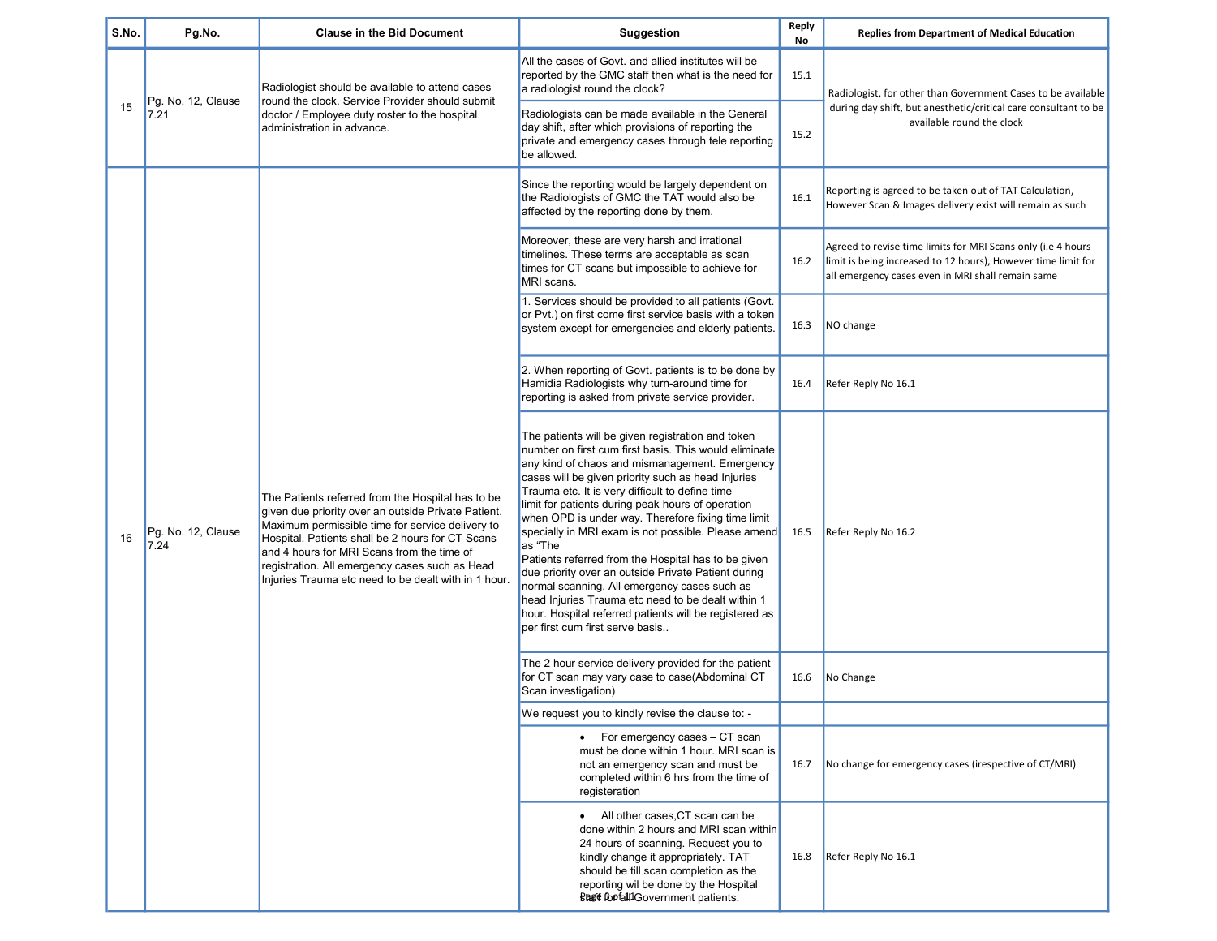| S.No. | Pg.No.                     | <b>Clause in the Bid Document</b>                                                                                                                                                                                                                                                                                                                                        | <b>Suggestion</b>                                                                                                                                                                                                                                                                                                                                                                                                                                                                                                                                                                                                                                                                                                                                                   | Reply<br>No | <b>Replies from Department of Medical Education</b>                                                                                                                                |
|-------|----------------------------|--------------------------------------------------------------------------------------------------------------------------------------------------------------------------------------------------------------------------------------------------------------------------------------------------------------------------------------------------------------------------|---------------------------------------------------------------------------------------------------------------------------------------------------------------------------------------------------------------------------------------------------------------------------------------------------------------------------------------------------------------------------------------------------------------------------------------------------------------------------------------------------------------------------------------------------------------------------------------------------------------------------------------------------------------------------------------------------------------------------------------------------------------------|-------------|------------------------------------------------------------------------------------------------------------------------------------------------------------------------------------|
|       | Pg. No. 12, Clause         | Radiologist should be available to attend cases                                                                                                                                                                                                                                                                                                                          | All the cases of Govt, and allied institutes will be<br>reported by the GMC staff then what is the need for<br>a radiologist round the clock?                                                                                                                                                                                                                                                                                                                                                                                                                                                                                                                                                                                                                       | 15.1        | Radiologist, for other than Government Cases to be available                                                                                                                       |
| 15    | 7.21                       | round the clock. Service Provider should submit<br>doctor / Employee duty roster to the hospital<br>administration in advance.                                                                                                                                                                                                                                           | Radiologists can be made available in the General<br>day shift, after which provisions of reporting the<br>private and emergency cases through tele reporting<br>be allowed.                                                                                                                                                                                                                                                                                                                                                                                                                                                                                                                                                                                        | 15.2        | during day shift, but anesthetic/critical care consultant to be<br>available round the clock                                                                                       |
|       |                            |                                                                                                                                                                                                                                                                                                                                                                          | Since the reporting would be largely dependent on<br>the Radiologists of GMC the TAT would also be<br>affected by the reporting done by them.                                                                                                                                                                                                                                                                                                                                                                                                                                                                                                                                                                                                                       | 16.1        | Reporting is agreed to be taken out of TAT Calculation,<br>However Scan & Images delivery exist will remain as such                                                                |
|       |                            |                                                                                                                                                                                                                                                                                                                                                                          | Moreover, these are very harsh and irrational<br>timelines. These terms are acceptable as scan<br>times for CT scans but impossible to achieve for<br>MRI scans.                                                                                                                                                                                                                                                                                                                                                                                                                                                                                                                                                                                                    | 16.2        | Agreed to revise time limits for MRI Scans only (i.e 4 hours<br>limit is being increased to 12 hours), However time limit for<br>all emergency cases even in MRI shall remain same |
|       |                            |                                                                                                                                                                                                                                                                                                                                                                          | 1. Services should be provided to all patients (Govt.<br>or Pvt.) on first come first service basis with a token<br>system except for emergencies and elderly patients.                                                                                                                                                                                                                                                                                                                                                                                                                                                                                                                                                                                             | 16.3        | NO change                                                                                                                                                                          |
|       | Pg. No. 12, Clause<br>7.24 | The Patients referred from the Hospital has to be<br>given due priority over an outside Private Patient.<br>Maximum permissible time for service delivery to<br>Hospital. Patients shall be 2 hours for CT Scans<br>and 4 hours for MRI Scans from the time of<br>registration. All emergency cases such as Head<br>Injuries Trauma etc need to be dealt with in 1 hour. | 2. When reporting of Govt. patients is to be done by<br>Hamidia Radiologists why turn-around time for<br>reporting is asked from private service provider.                                                                                                                                                                                                                                                                                                                                                                                                                                                                                                                                                                                                          | 16.4        | Refer Reply No 16.1                                                                                                                                                                |
| 16    |                            |                                                                                                                                                                                                                                                                                                                                                                          | The patients will be given registration and token<br>number on first cum first basis. This would eliminate<br>any kind of chaos and mismanagement. Emergency<br>cases will be given priority such as head Injuries<br>Trauma etc. It is very difficult to define time<br>limit for patients during peak hours of operation<br>when OPD is under way. Therefore fixing time limit<br>specially in MRI exam is not possible. Please amend<br>as "The<br>Patients referred from the Hospital has to be given<br>due priority over an outside Private Patient during<br>normal scanning. All emergency cases such as<br>head Injuries Trauma etc need to be dealt within 1<br>hour. Hospital referred patients will be registered as<br>per first cum first serve basis | 16.5        | Refer Reply No 16.2                                                                                                                                                                |
|       |                            |                                                                                                                                                                                                                                                                                                                                                                          | The 2 hour service delivery provided for the patient<br>for CT scan may vary case to case(Abdominal CT<br>Scan investigation)                                                                                                                                                                                                                                                                                                                                                                                                                                                                                                                                                                                                                                       | 16.6        | No Change                                                                                                                                                                          |
|       |                            |                                                                                                                                                                                                                                                                                                                                                                          | We request you to kindly revise the clause to: -                                                                                                                                                                                                                                                                                                                                                                                                                                                                                                                                                                                                                                                                                                                    |             |                                                                                                                                                                                    |
|       |                            |                                                                                                                                                                                                                                                                                                                                                                          | For emergency cases – CT scan<br>$\bullet$<br>must be done within 1 hour. MRI scan is<br>not an emergency scan and must be<br>completed within 6 hrs from the time of<br>registeration                                                                                                                                                                                                                                                                                                                                                                                                                                                                                                                                                                              | 16.7        | No change for emergency cases (irespective of CT/MRI)                                                                                                                              |
|       |                            |                                                                                                                                                                                                                                                                                                                                                                          | • All other cases, CT scan can be<br>done within 2 hours and MRI scan within<br>24 hours of scanning. Request you to<br>kindly change it appropriately. TAT<br>should be till scan completion as the<br>reporting wil be done by the Hospital<br><b>Staff fortall1Government patients.</b>                                                                                                                                                                                                                                                                                                                                                                                                                                                                          | 16.8        | Refer Reply No 16.1                                                                                                                                                                |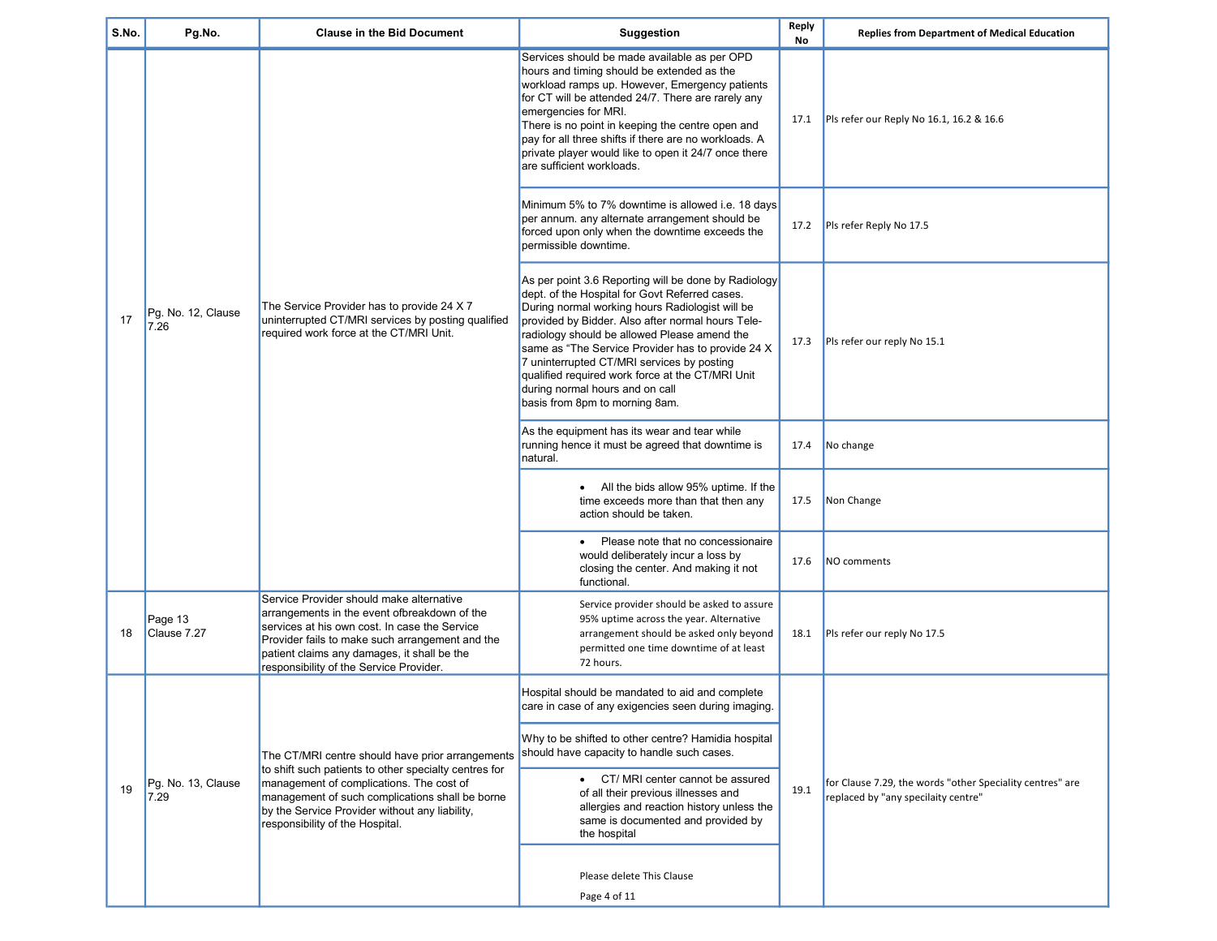| S.No. | Pg.No.                     | <b>Clause in the Bid Document</b>                                                                                                                                                                                                                                                      | <b>Suggestion</b>                                                                                                                                                                                                                                                                                                                                                                                                                                                                          | Reply<br>No | <b>Replies from Department of Medical Education</b>                                              |
|-------|----------------------------|----------------------------------------------------------------------------------------------------------------------------------------------------------------------------------------------------------------------------------------------------------------------------------------|--------------------------------------------------------------------------------------------------------------------------------------------------------------------------------------------------------------------------------------------------------------------------------------------------------------------------------------------------------------------------------------------------------------------------------------------------------------------------------------------|-------------|--------------------------------------------------------------------------------------------------|
|       |                            |                                                                                                                                                                                                                                                                                        | Services should be made available as per OPD<br>hours and timing should be extended as the<br>workload ramps up. However, Emergency patients<br>for CT will be attended 24/7. There are rarely any<br>emergencies for MRI.<br>There is no point in keeping the centre open and<br>pay for all three shifts if there are no workloads. A<br>private player would like to open it 24/7 once there<br>are sufficient workloads.                                                               | 17.1        | Pls refer our Reply No 16.1, 16.2 & 16.6                                                         |
|       |                            |                                                                                                                                                                                                                                                                                        | Minimum 5% to 7% downtime is allowed i.e. 18 days<br>per annum. any alternate arrangement should be<br>forced upon only when the downtime exceeds the<br>permissible downtime.                                                                                                                                                                                                                                                                                                             | 17.2        | Pls refer Reply No 17.5                                                                          |
| 17    | Pg. No. 12, Clause<br>7.26 | The Service Provider has to provide 24 X 7<br>uninterrupted CT/MRI services by posting qualified<br>required work force at the CT/MRI Unit.                                                                                                                                            | As per point 3.6 Reporting will be done by Radiology<br>dept. of the Hospital for Govt Referred cases.<br>During normal working hours Radiologist will be<br>provided by Bidder. Also after normal hours Tele-<br>radiology should be allowed Please amend the<br>same as "The Service Provider has to provide 24 X<br>7 uninterrupted CT/MRI services by posting<br>qualified required work force at the CT/MRI Unit<br>during normal hours and on call<br>basis from 8pm to morning 8am. | 17.3        | Pls refer our reply No 15.1                                                                      |
|       |                            |                                                                                                                                                                                                                                                                                        | As the equipment has its wear and tear while<br>running hence it must be agreed that downtime is<br>natural.                                                                                                                                                                                                                                                                                                                                                                               | 17.4        | No change                                                                                        |
|       |                            |                                                                                                                                                                                                                                                                                        | • All the bids allow 95% uptime. If the<br>time exceeds more than that then any<br>action should be taken.                                                                                                                                                                                                                                                                                                                                                                                 | 17.5        | Non Change                                                                                       |
|       |                            |                                                                                                                                                                                                                                                                                        | Please note that no concessionaire<br>$\bullet$<br>would deliberately incur a loss by<br>closing the center. And making it not<br>functional.                                                                                                                                                                                                                                                                                                                                              | 17.6        | NO comments                                                                                      |
| 18    | Page 13<br>Clause 7.27     | Service Provider should make alternative<br>arrangements in the event ofbreakdown of the<br>services at his own cost. In case the Service<br>Provider fails to make such arrangement and the<br>patient claims any damages, it shall be the<br>responsibility of the Service Provider. | Service provider should be asked to assure<br>95% uptime across the year. Alternative<br>arrangement should be asked only beyond<br>permitted one time downtime of at least<br>72 hours.                                                                                                                                                                                                                                                                                                   | 18.1        | Pls refer our reply No 17.5                                                                      |
|       |                            |                                                                                                                                                                                                                                                                                        | Hospital should be mandated to aid and complete<br>care in case of any exigencies seen during imaging.                                                                                                                                                                                                                                                                                                                                                                                     |             |                                                                                                  |
|       |                            | The CT/MRI centre should have prior arrangements                                                                                                                                                                                                                                       | Why to be shifted to other centre? Hamidia hospital<br>should have capacity to handle such cases.                                                                                                                                                                                                                                                                                                                                                                                          |             | for Clause 7.29, the words "other Speciality centres" are<br>replaced by "any specilaity centre" |
| 19    | Pg. No. 13, Clause<br>7.29 | to shift such patients to other specialty centres for<br>management of complications. The cost of<br>management of such complications shall be borne<br>by the Service Provider without any liability,<br>responsibility of the Hospital.                                              | • CT/MRI center cannot be assured<br>of all their previous illnesses and<br>allergies and reaction history unless the<br>same is documented and provided by<br>the hospital                                                                                                                                                                                                                                                                                                                | 19.1        |                                                                                                  |
|       |                            |                                                                                                                                                                                                                                                                                        | Please delete This Clause<br>Page 4 of 11                                                                                                                                                                                                                                                                                                                                                                                                                                                  |             |                                                                                                  |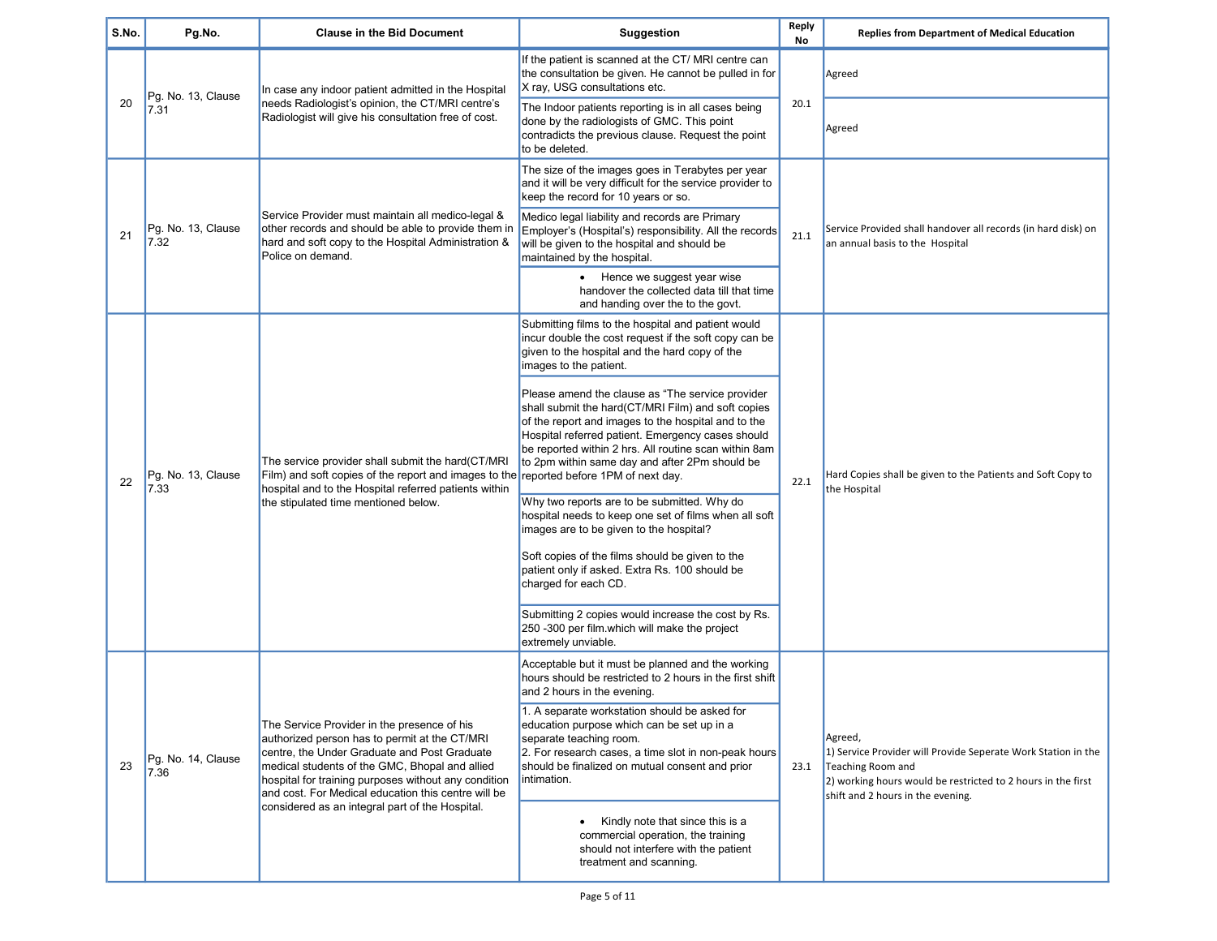| S.No. | Pg.No.                     | <b>Clause in the Bid Document</b>                                                                                                                                                                                                                                                                                                                                | <b>Suggestion</b>                                                                                                                                                                                                                                                                                                             | Reply<br>No | <b>Replies from Department of Medical Education</b>                                                                                                                                                |
|-------|----------------------------|------------------------------------------------------------------------------------------------------------------------------------------------------------------------------------------------------------------------------------------------------------------------------------------------------------------------------------------------------------------|-------------------------------------------------------------------------------------------------------------------------------------------------------------------------------------------------------------------------------------------------------------------------------------------------------------------------------|-------------|----------------------------------------------------------------------------------------------------------------------------------------------------------------------------------------------------|
|       | Pg. No. 13, Clause         | In case any indoor patient admitted in the Hospital                                                                                                                                                                                                                                                                                                              | If the patient is scanned at the CT/MRI centre can<br>the consultation be given. He cannot be pulled in for<br>X ray, USG consultations etc.                                                                                                                                                                                  |             | Agreed                                                                                                                                                                                             |
| 20    | 7.31                       | needs Radiologist's opinion, the CT/MRI centre's<br>Radiologist will give his consultation free of cost.                                                                                                                                                                                                                                                         | The Indoor patients reporting is in all cases being<br>done by the radiologists of GMC. This point<br>contradicts the previous clause. Request the point<br>to be deleted.                                                                                                                                                    | 20.1        | Agreed                                                                                                                                                                                             |
|       |                            |                                                                                                                                                                                                                                                                                                                                                                  | The size of the images goes in Terabytes per year<br>and it will be very difficult for the service provider to<br>keep the record for 10 years or so.                                                                                                                                                                         |             |                                                                                                                                                                                                    |
| 21    | Pg. No. 13, Clause<br>7.32 | Service Provider must maintain all medico-legal &<br>other records and should be able to provide them in<br>hard and soft copy to the Hospital Administration &<br>Police on demand.                                                                                                                                                                             | Medico legal liability and records are Primary<br>Employer's (Hospital's) responsibility. All the records<br>will be given to the hospital and should be<br>maintained by the hospital.                                                                                                                                       | 21.1        | Service Provided shall handover all records (in hard disk) on<br>an annual basis to the Hospital                                                                                                   |
|       |                            |                                                                                                                                                                                                                                                                                                                                                                  | • Hence we suggest year wise<br>handover the collected data till that time<br>and handing over the to the govt.                                                                                                                                                                                                               |             |                                                                                                                                                                                                    |
|       | Pg. No. 13, Clause<br>7.33 | The service provider shall submit the hard(CT/MRI<br>Film) and soft copies of the report and images to the reported before 1PM of next day.<br>hospital and to the Hospital referred patients within<br>the stipulated time mentioned below.                                                                                                                     | Submitting films to the hospital and patient would<br>incur double the cost request if the soft copy can be<br>given to the hospital and the hard copy of the<br>images to the patient.                                                                                                                                       |             | Hard Copies shall be given to the Patients and Soft Copy to<br>the Hospital                                                                                                                        |
| 22    |                            |                                                                                                                                                                                                                                                                                                                                                                  | Please amend the clause as "The service provider<br>shall submit the hard(CT/MRI Film) and soft copies<br>of the report and images to the hospital and to the<br>Hospital referred patient. Emergency cases should<br>be reported within 2 hrs. All routine scan within 8am<br>to 2pm within same day and after 2Pm should be | 22.1        |                                                                                                                                                                                                    |
|       |                            |                                                                                                                                                                                                                                                                                                                                                                  | Why two reports are to be submitted. Why do<br>hospital needs to keep one set of films when all soft<br>images are to be given to the hospital?                                                                                                                                                                               |             |                                                                                                                                                                                                    |
|       |                            |                                                                                                                                                                                                                                                                                                                                                                  | Soft copies of the films should be given to the<br>patient only if asked. Extra Rs. 100 should be<br>charged for each CD.                                                                                                                                                                                                     |             |                                                                                                                                                                                                    |
|       |                            |                                                                                                                                                                                                                                                                                                                                                                  | Submitting 2 copies would increase the cost by Rs.<br>250 -300 per film.which will make the project<br>extremely unviable.                                                                                                                                                                                                    |             |                                                                                                                                                                                                    |
|       |                            |                                                                                                                                                                                                                                                                                                                                                                  | Acceptable but it must be planned and the working<br>hours should be restricted to 2 hours in the first shift<br>and 2 hours in the evening.                                                                                                                                                                                  |             |                                                                                                                                                                                                    |
| 23    | Pg. No. 14, Clause<br>7.36 | The Service Provider in the presence of his<br>authorized person has to permit at the CT/MRI<br>centre, the Under Graduate and Post Graduate<br>medical students of the GMC, Bhopal and allied<br>hospital for training purposes without any condition<br>and cost. For Medical education this centre will be<br>considered as an integral part of the Hospital. | 1. A separate workstation should be asked for<br>education purpose which can be set up in a<br>separate teaching room.<br>2. For research cases, a time slot in non-peak hours<br>should be finalized on mutual consent and prior<br>intimation.                                                                              | 23.1        | Agreed,<br>1) Service Provider will Provide Seperate Work Station in the<br>Teaching Room and<br>2) working hours would be restricted to 2 hours in the first<br>shift and 2 hours in the evening. |
|       |                            |                                                                                                                                                                                                                                                                                                                                                                  | Kindly note that since this is a<br>commercial operation, the training<br>should not interfere with the patient<br>treatment and scanning.                                                                                                                                                                                    |             |                                                                                                                                                                                                    |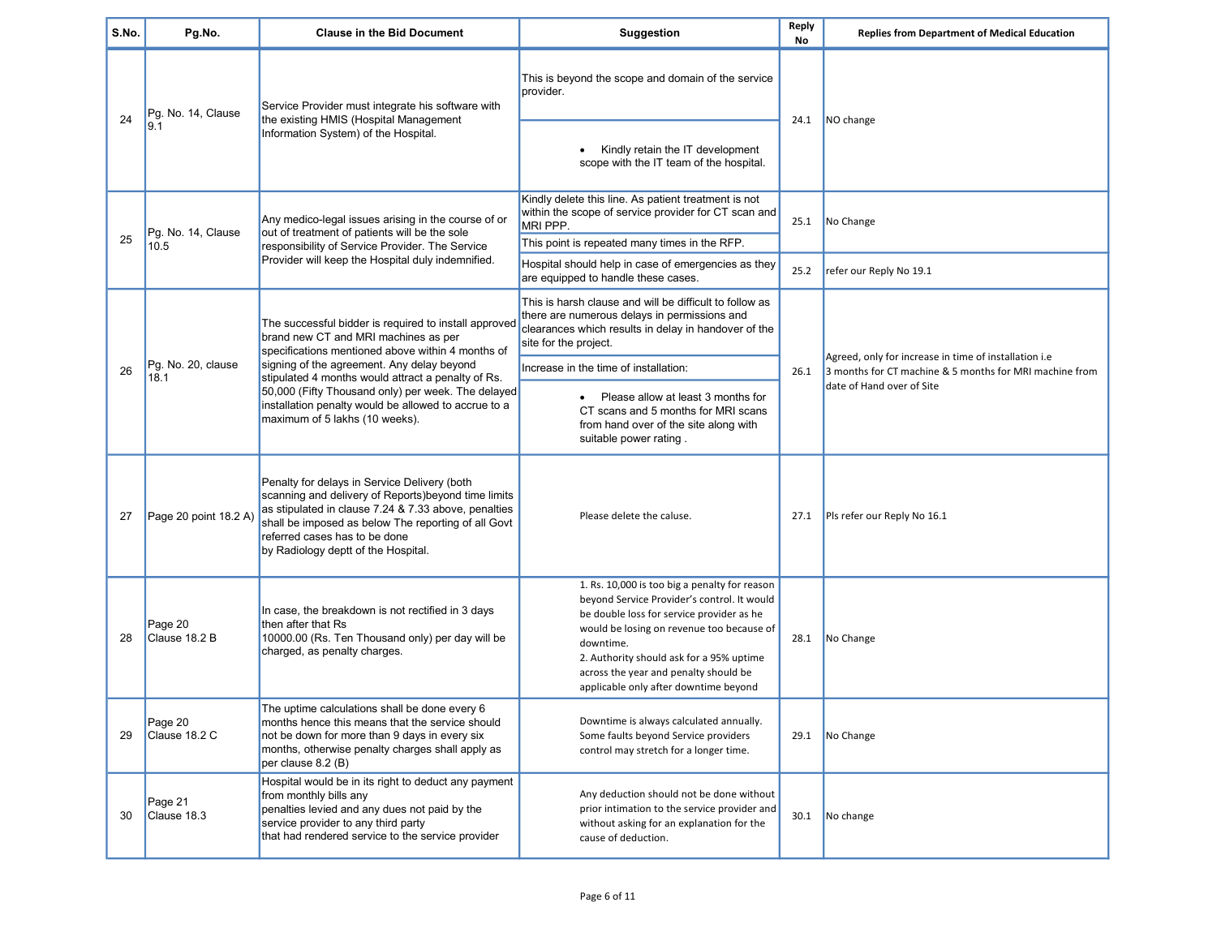| S.No. | Pg.No.                     | <b>Clause in the Bid Document</b>                                                                                                                                                                                                                                                                                                                                                                      | Suggestion                                                                                                                                                                                                                                                                                                                        | Reply<br>No | <b>Replies from Department of Medical Education</b>                                                                                           |
|-------|----------------------------|--------------------------------------------------------------------------------------------------------------------------------------------------------------------------------------------------------------------------------------------------------------------------------------------------------------------------------------------------------------------------------------------------------|-----------------------------------------------------------------------------------------------------------------------------------------------------------------------------------------------------------------------------------------------------------------------------------------------------------------------------------|-------------|-----------------------------------------------------------------------------------------------------------------------------------------------|
| 24    | Pg. No. 14, Clause         | Service Provider must integrate his software with                                                                                                                                                                                                                                                                                                                                                      | This is beyond the scope and domain of the service<br>provider.                                                                                                                                                                                                                                                                   |             |                                                                                                                                               |
|       | 9.1                        | the existing HMIS (Hospital Management<br>Information System) of the Hospital.                                                                                                                                                                                                                                                                                                                         | Kindly retain the IT development<br>$\bullet$<br>scope with the IT team of the hospital.                                                                                                                                                                                                                                          | 24.1        | NO change                                                                                                                                     |
|       | Pg. No. 14, Clause         | Any medico-legal issues arising in the course of or<br>out of treatment of patients will be the sole                                                                                                                                                                                                                                                                                                   | Kindly delete this line. As patient treatment is not<br>within the scope of service provider for CT scan and<br>MRI PPP.                                                                                                                                                                                                          | 25.1        | No Change                                                                                                                                     |
| 25    | 10.5                       | responsibility of Service Provider. The Service                                                                                                                                                                                                                                                                                                                                                        | This point is repeated many times in the RFP.                                                                                                                                                                                                                                                                                     |             |                                                                                                                                               |
|       |                            | Provider will keep the Hospital duly indemnified.                                                                                                                                                                                                                                                                                                                                                      | Hospital should help in case of emergencies as they<br>are equipped to handle these cases.                                                                                                                                                                                                                                        | 25.2        | refer our Reply No 19.1                                                                                                                       |
|       |                            | The successful bidder is required to install approved<br>brand new CT and MRI machines as per<br>specifications mentioned above within 4 months of<br>signing of the agreement. Any delay beyond<br>stipulated 4 months would attract a penalty of Rs.<br>50,000 (Fifty Thousand only) per week. The delayed<br>installation penalty would be allowed to accrue to a<br>maximum of 5 lakhs (10 weeks). | This is harsh clause and will be difficult to follow as<br>there are numerous delays in permissions and<br>clearances which results in delay in handover of the<br>site for the project.                                                                                                                                          |             |                                                                                                                                               |
| 26    | Pg. No. 20, clause<br>18.1 |                                                                                                                                                                                                                                                                                                                                                                                                        | Increase in the time of installation:                                                                                                                                                                                                                                                                                             | 26.1        | Agreed, only for increase in time of installation i.e<br>3 months for CT machine & 5 months for MRI machine from<br>date of Hand over of Site |
|       |                            |                                                                                                                                                                                                                                                                                                                                                                                                        | Please allow at least 3 months for<br>$\bullet$<br>CT scans and 5 months for MRI scans<br>from hand over of the site along with<br>suitable power rating.                                                                                                                                                                         |             |                                                                                                                                               |
| 27    | Page 20 point 18.2 A)      | Penalty for delays in Service Delivery (both<br>scanning and delivery of Reports) beyond time limits<br>as stipulated in clause 7.24 & 7.33 above, penalties<br>shall be imposed as below The reporting of all Govt<br>referred cases has to be done<br>by Radiology deptt of the Hospital.                                                                                                            | Please delete the caluse.                                                                                                                                                                                                                                                                                                         | 27.1        | Pls refer our Reply No 16.1                                                                                                                   |
| 28    | Page 20<br>Clause 18.2 B   | In case, the breakdown is not rectified in 3 days<br>then after that Rs<br>10000.00 (Rs. Ten Thousand only) per day will be<br>charged, as penalty charges.                                                                                                                                                                                                                                            | 1. Rs. 10,000 is too big a penalty for reason<br>beyond Service Provider's control. It would<br>be double loss for service provider as he<br>would be losing on revenue too because of<br>downtime.<br>2. Authority should ask for a 95% uptime<br>across the year and penalty should be<br>applicable only after downtime beyond | 28.1        | No Change                                                                                                                                     |
| 29    | Page 20<br>Clause 18.2 C   | The uptime calculations shall be done every 6<br>months hence this means that the service should<br>not be down for more than 9 days in every six<br>months, otherwise penalty charges shall apply as<br>per clause 8.2 (B)                                                                                                                                                                            | Downtime is always calculated annually.<br>Some faults beyond Service providers<br>control may stretch for a longer time.                                                                                                                                                                                                         | 29.1        | No Change                                                                                                                                     |
| 30    | Page 21<br>Clause 18.3     | Hospital would be in its right to deduct any payment<br>from monthly bills any<br>penalties levied and any dues not paid by the<br>service provider to any third party<br>that had rendered service to the service provider                                                                                                                                                                            | Any deduction should not be done without<br>prior intimation to the service provider and<br>without asking for an explanation for the<br>cause of deduction.                                                                                                                                                                      | 30.1        | No change                                                                                                                                     |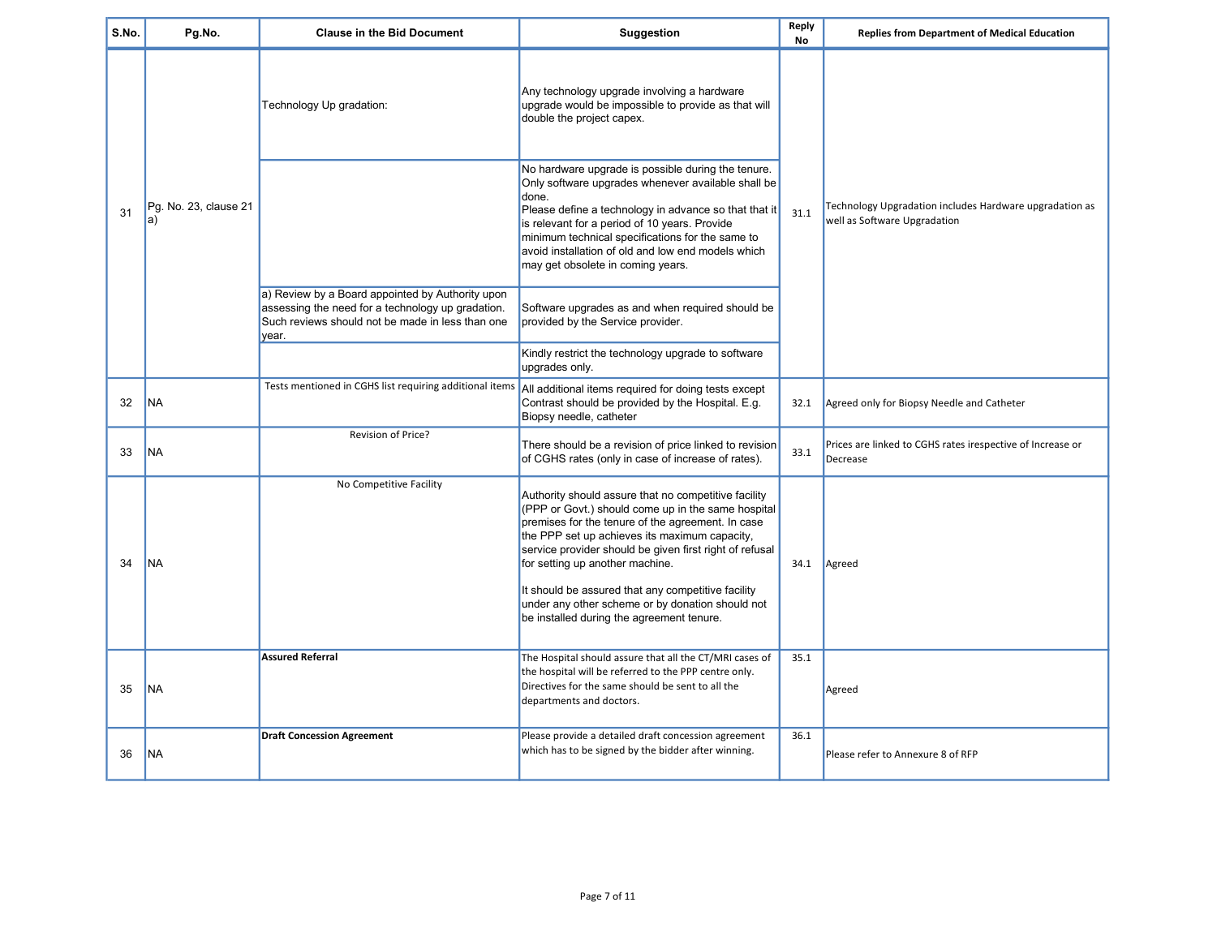| S.No. | Pg.No.                      | <b>Clause in the Bid Document</b>                                                                                                                                  | Suggestion                                                                                                                                                                                                                                                                                                                                                                                                                                                            | Reply<br>No | <b>Replies from Department of Medical Education</b>                                     |
|-------|-----------------------------|--------------------------------------------------------------------------------------------------------------------------------------------------------------------|-----------------------------------------------------------------------------------------------------------------------------------------------------------------------------------------------------------------------------------------------------------------------------------------------------------------------------------------------------------------------------------------------------------------------------------------------------------------------|-------------|-----------------------------------------------------------------------------------------|
| 31    | Pg. No. 23, clause 21<br>a) | Technology Up gradation:                                                                                                                                           | Any technology upgrade involving a hardware<br>upgrade would be impossible to provide as that will<br>double the project capex.                                                                                                                                                                                                                                                                                                                                       | 31.1        |                                                                                         |
|       |                             |                                                                                                                                                                    | No hardware upgrade is possible during the tenure.<br>Only software upgrades whenever available shall be<br>done.<br>Please define a technology in advance so that that it<br>is relevant for a period of 10 years. Provide<br>minimum technical specifications for the same to<br>avoid installation of old and low end models which<br>may get obsolete in coming years.                                                                                            |             | Technology Upgradation includes Hardware upgradation as<br>well as Software Upgradation |
|       |                             | a) Review by a Board appointed by Authority upon<br>assessing the need for a technology up gradation.<br>Such reviews should not be made in less than one<br>year. | Software upgrades as and when required should be<br>provided by the Service provider.                                                                                                                                                                                                                                                                                                                                                                                 |             |                                                                                         |
|       |                             |                                                                                                                                                                    | Kindly restrict the technology upgrade to software<br>upgrades only.                                                                                                                                                                                                                                                                                                                                                                                                  |             |                                                                                         |
| 32    | <b>NA</b>                   | Tests mentioned in CGHS list requiring additional items                                                                                                            | All additional items required for doing tests except<br>Contrast should be provided by the Hospital. E.g.<br>Biopsy needle, catheter                                                                                                                                                                                                                                                                                                                                  | 32.1        | Agreed only for Biopsy Needle and Catheter                                              |
| 33    | NA                          | Revision of Price?                                                                                                                                                 | There should be a revision of price linked to revision<br>of CGHS rates (only in case of increase of rates).                                                                                                                                                                                                                                                                                                                                                          | 33.1        | Prices are linked to CGHS rates irespective of Increase or<br>Decrease                  |
| 34    | <b>NA</b>                   | No Competitive Facility                                                                                                                                            | Authority should assure that no competitive facility<br>(PPP or Govt.) should come up in the same hospital<br>premises for the tenure of the agreement. In case<br>the PPP set up achieves its maximum capacity,<br>service provider should be given first right of refusal<br>for setting up another machine.<br>It should be assured that any competitive facility<br>under any other scheme or by donation should not<br>be installed during the agreement tenure. | 34.1        | Agreed                                                                                  |
| 35    | <b>NA</b>                   | <b>Assured Referral</b>                                                                                                                                            | The Hospital should assure that all the CT/MRI cases of<br>the hospital will be referred to the PPP centre only.<br>Directives for the same should be sent to all the<br>departments and doctors.                                                                                                                                                                                                                                                                     | 35.1        | Agreed                                                                                  |
| 36    | NA                          | <b>Draft Concession Agreement</b>                                                                                                                                  | Please provide a detailed draft concession agreement<br>which has to be signed by the bidder after winning.                                                                                                                                                                                                                                                                                                                                                           | 36.1        | Please refer to Annexure 8 of RFP                                                       |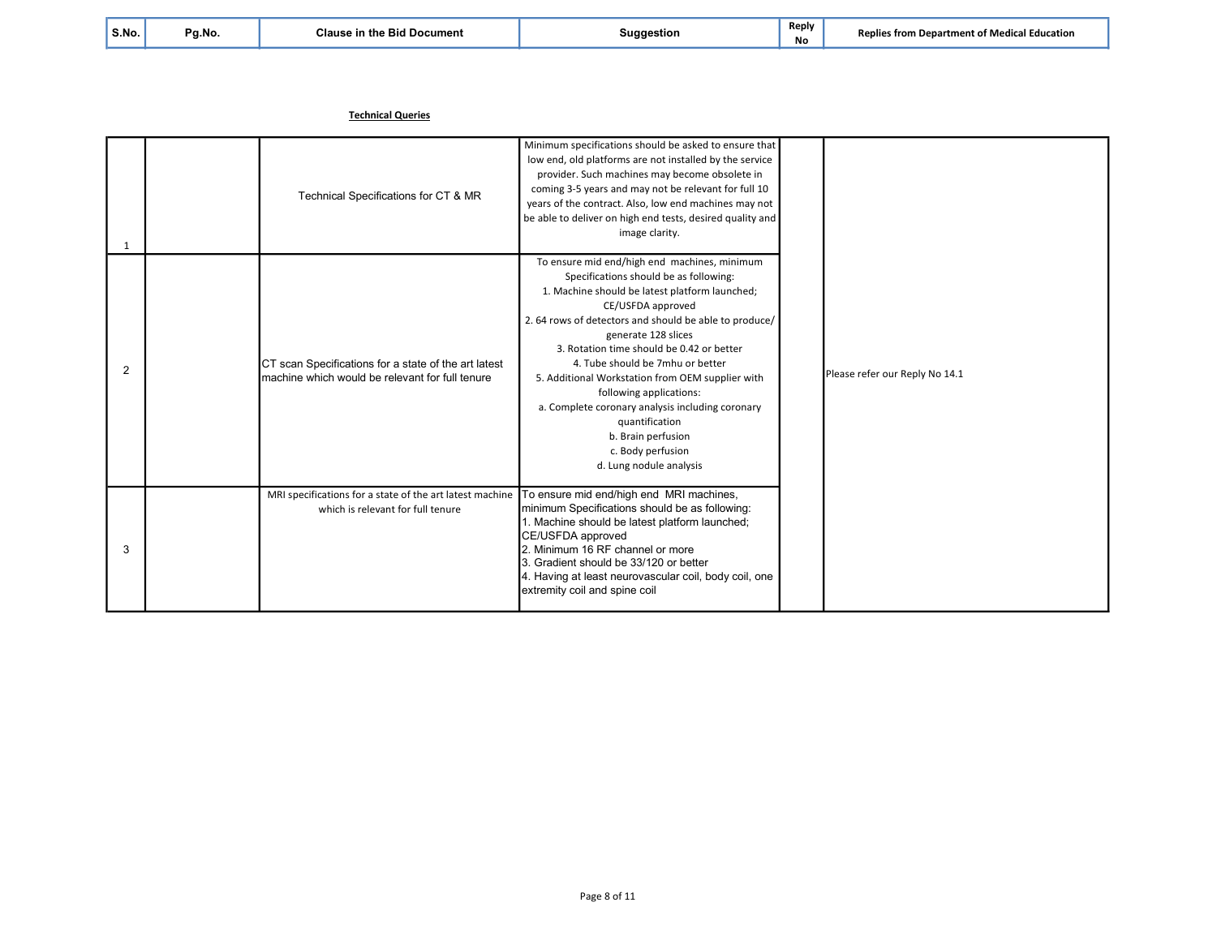| S.No. |  |
|-------|--|
|       |  |

No

Technical Queries

| $\mathbf 1$ | Technical Specifications for CT & MR                                                                    | Minimum specifications should be asked to ensure that<br>low end, old platforms are not installed by the service<br>provider. Such machines may become obsolete in<br>coming 3-5 years and may not be relevant for full 10<br>years of the contract. Also, low end machines may not<br>be able to deliver on high end tests, desired quality and<br>image clarity.                                                                                                                                                                                        |  | Please refer our Reply No 14.1 |
|-------------|---------------------------------------------------------------------------------------------------------|-----------------------------------------------------------------------------------------------------------------------------------------------------------------------------------------------------------------------------------------------------------------------------------------------------------------------------------------------------------------------------------------------------------------------------------------------------------------------------------------------------------------------------------------------------------|--|--------------------------------|
| 2           | CT scan Specifications for a state of the art latest<br>machine which would be relevant for full tenure | To ensure mid end/high end machines, minimum<br>Specifications should be as following:<br>1. Machine should be latest platform launched;<br>CE/USFDA approved<br>2.64 rows of detectors and should be able to produce/<br>generate 128 slices<br>3. Rotation time should be 0.42 or better<br>4. Tube should be 7mhu or better<br>5. Additional Workstation from OEM supplier with<br>following applications:<br>a. Complete coronary analysis including coronary<br>quantification<br>b. Brain perfusion<br>c. Body perfusion<br>d. Lung nodule analysis |  |                                |
| 3           | MRI specifications for a state of the art latest machine<br>which is relevant for full tenure           | To ensure mid end/high end MRI machines,<br>minimum Specifications should be as following:<br>1. Machine should be latest platform launched;<br>CE/USFDA approved<br>2. Minimum 16 RF channel or more<br>3. Gradient should be 33/120 or better<br>4. Having at least neurovascular coil, body coil, one<br>extremity coil and spine coil                                                                                                                                                                                                                 |  |                                |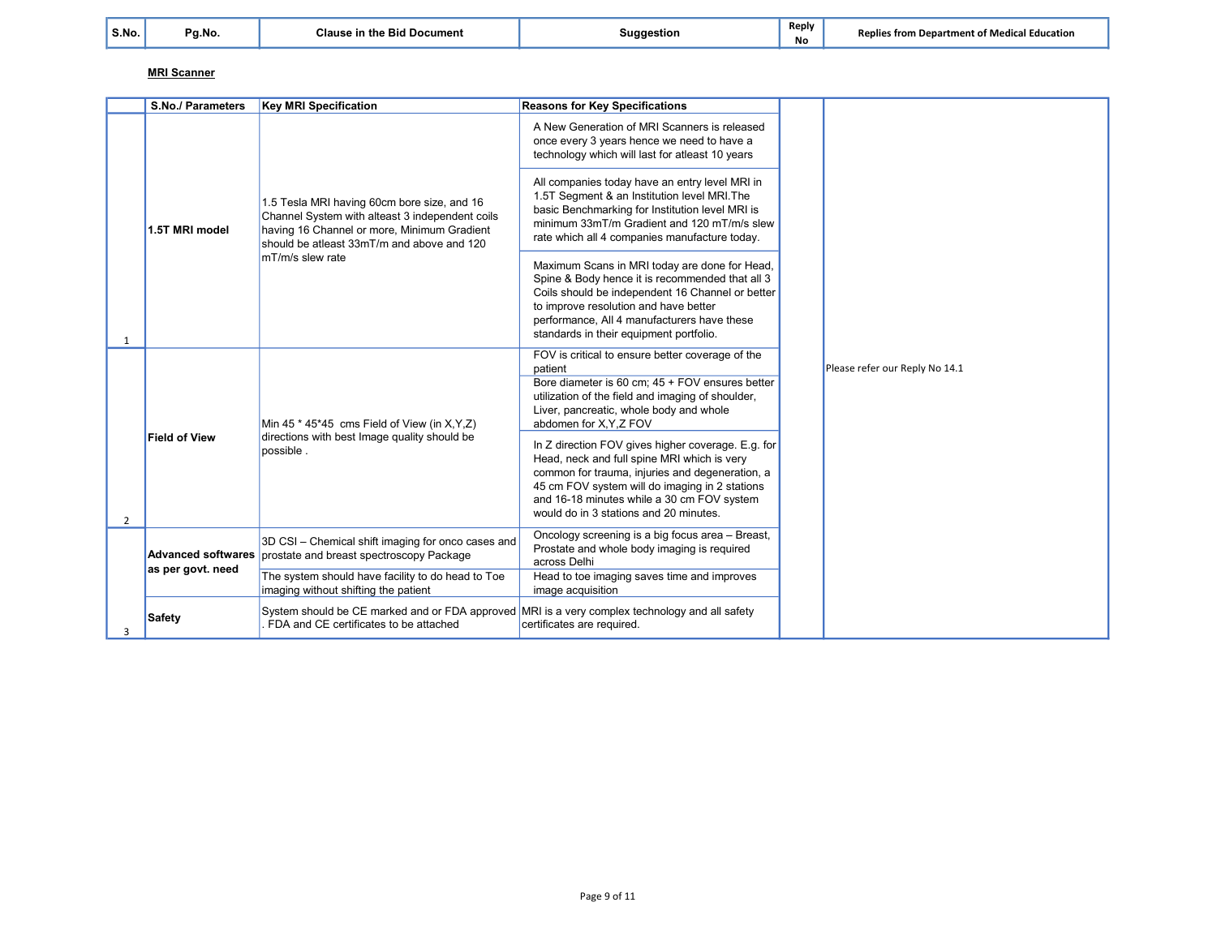No

## MRI Scanner

|   | <b>S.No./ Parameters</b>                       | <b>Key MRI Specification</b>                                                                                                                                                                                    | <b>Reasons for Key Specifications</b>                                                                                                                                                                                                                                                          |  |                                |
|---|------------------------------------------------|-----------------------------------------------------------------------------------------------------------------------------------------------------------------------------------------------------------------|------------------------------------------------------------------------------------------------------------------------------------------------------------------------------------------------------------------------------------------------------------------------------------------------|--|--------------------------------|
|   |                                                | 1.5 Tesla MRI having 60cm bore size, and 16<br>Channel System with alteast 3 independent coils<br>having 16 Channel or more, Minimum Gradient<br>should be atleast 33mT/m and above and 120<br>mT/m/s slew rate | A New Generation of MRI Scanners is released<br>once every 3 years hence we need to have a<br>technology which will last for atleast 10 years                                                                                                                                                  |  | Please refer our Reply No 14.1 |
|   | 1.5T MRI model                                 |                                                                                                                                                                                                                 | All companies today have an entry level MRI in<br>1.5T Segment & an Institution level MRI. The<br>basic Benchmarking for Institution level MRI is<br>minimum 33mT/m Gradient and 120 mT/m/s slew<br>rate which all 4 companies manufacture today.                                              |  |                                |
| 1 |                                                |                                                                                                                                                                                                                 | Maximum Scans in MRI today are done for Head,<br>Spine & Body hence it is recommended that all 3<br>Coils should be independent 16 Channel or better<br>to improve resolution and have better<br>performance, All 4 manufacturers have these<br>standards in their equipment portfolio.        |  |                                |
|   | <b>Field of View</b>                           | Min 45 $*$ 45 $*$ 45 cms Field of View (in X, Y, Z)<br>directions with best Image quality should be<br>possible.                                                                                                | FOV is critical to ensure better coverage of the<br>patient<br>Bore diameter is 60 cm; 45 + FOV ensures better<br>utilization of the field and imaging of shoulder,<br>Liver, pancreatic, whole body and whole<br>abdomen for X, Y, Z FOV                                                      |  |                                |
| 2 |                                                |                                                                                                                                                                                                                 | In Z direction FOV gives higher coverage. E.g. for<br>Head, neck and full spine MRI which is very<br>common for trauma, injuries and degeneration, a<br>45 cm FOV system will do imaging in 2 stations<br>and 16-18 minutes while a 30 cm FOV system<br>would do in 3 stations and 20 minutes. |  |                                |
|   | <b>Advanced softwares</b><br>as per govt. need | 3D CSI - Chemical shift imaging for onco cases and<br>prostate and breast spectroscopy Package                                                                                                                  | Oncology screening is a big focus area - Breast,<br>Prostate and whole body imaging is required<br>across Delhi                                                                                                                                                                                |  |                                |
|   |                                                | The system should have facility to do head to Toe<br>imaging without shifting the patient                                                                                                                       | Head to toe imaging saves time and improves<br>image acquisition                                                                                                                                                                                                                               |  |                                |
| 3 | <b>Safety</b>                                  | System should be CE marked and or FDA approved MRI is a very complex technology and all safety<br>FDA and CE certificates to be attached                                                                        | certificates are required.                                                                                                                                                                                                                                                                     |  |                                |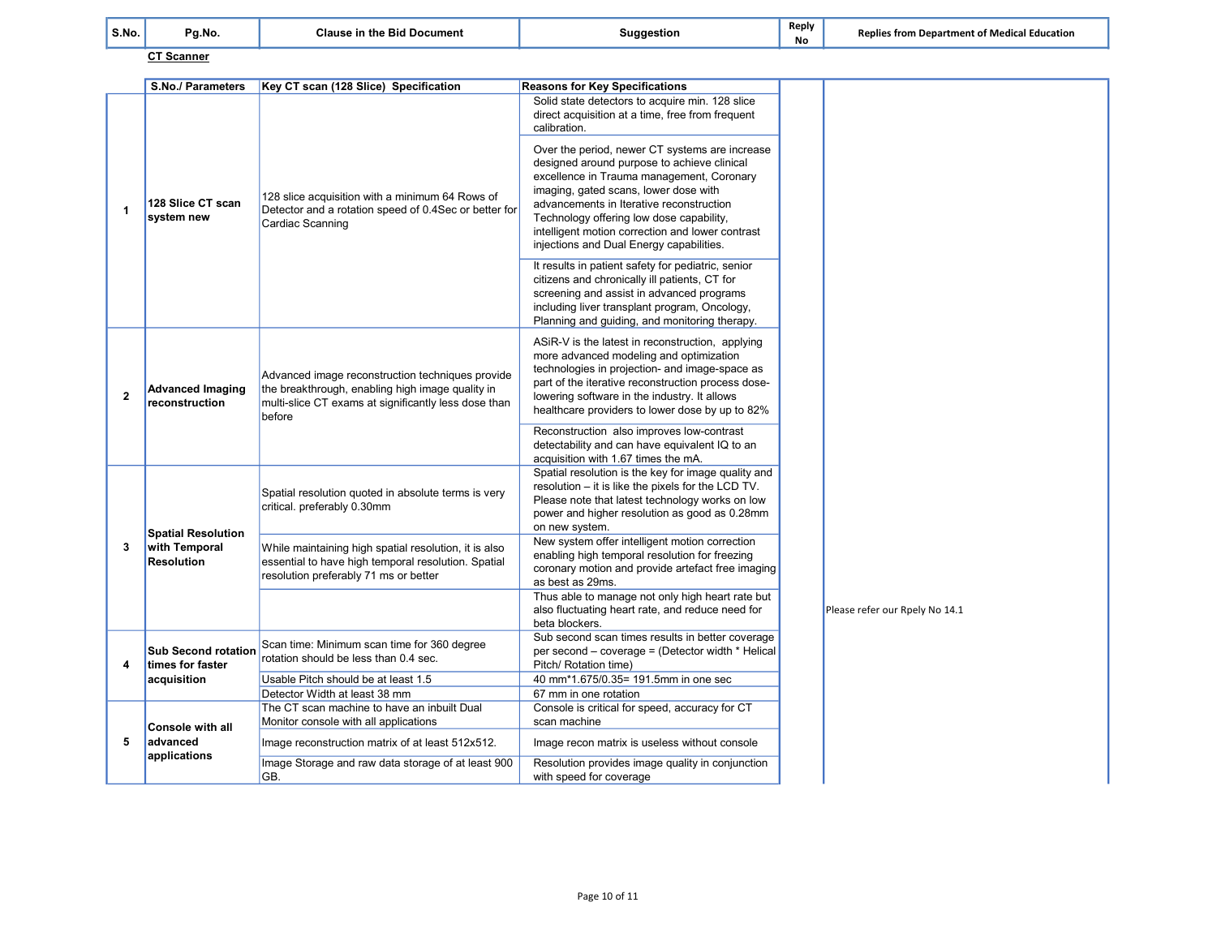| S.No. | Pg.No.             | <b>Clause in the Bid Document</b> | `uaaestion<br>-98 | Reply<br><b>No</b> | <b>Replies from Department of Medical Education</b> |
|-------|--------------------|-----------------------------------|-------------------|--------------------|-----------------------------------------------------|
|       | $- - -$<br>Scanner |                                   |                   |                    |                                                     |

|              | S.No./ Parameters                              | Key CT scan (128 Slice) Specification                                                                                                                                  | <b>Reasons for Key Specifications</b>                                                                                                                                                                                                                                                                                                                                       |                                |
|--------------|------------------------------------------------|------------------------------------------------------------------------------------------------------------------------------------------------------------------------|-----------------------------------------------------------------------------------------------------------------------------------------------------------------------------------------------------------------------------------------------------------------------------------------------------------------------------------------------------------------------------|--------------------------------|
|              |                                                |                                                                                                                                                                        | Solid state detectors to acquire min. 128 slice<br>direct acquisition at a time, free from frequent<br>calibration.                                                                                                                                                                                                                                                         |                                |
| $\mathbf{1}$ | 128 Slice CT scan<br>system new                | 128 slice acquisition with a minimum 64 Rows of<br>Detector and a rotation speed of 0.4Sec or better for<br>Cardiac Scanning                                           | Over the period, newer CT systems are increase<br>designed around purpose to achieve clinical<br>excellence in Trauma management, Coronary<br>imaging, gated scans, lower dose with<br>advancements in Iterative reconstruction<br>Technology offering low dose capability,<br>intelligent motion correction and lower contrast<br>injections and Dual Energy capabilities. |                                |
|              |                                                |                                                                                                                                                                        | It results in patient safety for pediatric, senior<br>citizens and chronically ill patients, CT for<br>screening and assist in advanced programs<br>including liver transplant program, Oncology,<br>Planning and quiding, and monitoring therapy.                                                                                                                          |                                |
| 2            | <b>Advanced Imaging</b><br>reconstruction      | Advanced image reconstruction techniques provide<br>the breakthrough, enabling high image quality in<br>multi-slice CT exams at significantly less dose than<br>before | ASiR-V is the latest in reconstruction, applying<br>more advanced modeling and optimization<br>technologies in projection- and image-space as<br>part of the iterative reconstruction process dose-<br>lowering software in the industry. It allows<br>healthcare providers to lower dose by up to 82%                                                                      |                                |
|              |                                                |                                                                                                                                                                        | Reconstruction also improves low-contrast<br>detectability and can have equivalent IQ to an<br>acquisition with 1.67 times the mA.                                                                                                                                                                                                                                          |                                |
|              | <b>Spatial Resolution</b>                      | Spatial resolution quoted in absolute terms is very<br>critical. preferably 0.30mm                                                                                     | Spatial resolution is the key for image quality and<br>resolution - it is like the pixels for the LCD TV.<br>Please note that latest technology works on low<br>power and higher resolution as good as 0.28mm<br>on new system.                                                                                                                                             |                                |
| 3            | with Temporal<br><b>Resolution</b>             | While maintaining high spatial resolution, it is also<br>essential to have high temporal resolution. Spatial<br>resolution preferably 71 ms or better                  | New system offer intelligent motion correction<br>enabling high temporal resolution for freezing<br>coronary motion and provide artefact free imaging<br>as best as 29ms.                                                                                                                                                                                                   |                                |
|              |                                                |                                                                                                                                                                        | Thus able to manage not only high heart rate but<br>also fluctuating heart rate, and reduce need for<br>beta blockers.                                                                                                                                                                                                                                                      | Please refer our Rpely No 14.1 |
| 4            | <b>Sub Second rotation</b><br>times for faster | Scan time: Minimum scan time for 360 degree<br>rotation should be less than 0.4 sec.                                                                                   | Sub second scan times results in better coverage<br>per second – coverage = (Detector width * Helical<br>Pitch/ Rotation time)                                                                                                                                                                                                                                              |                                |
|              | acquisition                                    | Usable Pitch should be at least 1.5                                                                                                                                    | 40 mm*1.675/0.35= 191.5mm in one sec                                                                                                                                                                                                                                                                                                                                        |                                |
|              |                                                | Detector Width at least 38 mm<br>The CT scan machine to have an inbuilt Dual                                                                                           | 67 mm in one rotation<br>Console is critical for speed, accuracy for CT                                                                                                                                                                                                                                                                                                     |                                |
|              | <b>Console with all</b>                        | Monitor console with all applications                                                                                                                                  | scan machine                                                                                                                                                                                                                                                                                                                                                                |                                |
| 5            | advanced<br>applications                       | Image reconstruction matrix of at least 512x512.                                                                                                                       | Image recon matrix is useless without console                                                                                                                                                                                                                                                                                                                               |                                |
|              |                                                | Image Storage and raw data storage of at least 900<br>GB.                                                                                                              | Resolution provides image quality in conjunction<br>with speed for coverage                                                                                                                                                                                                                                                                                                 |                                |